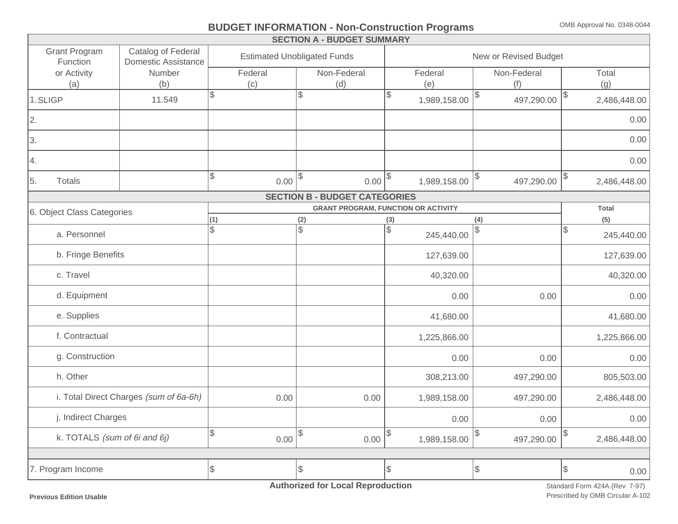# **BUDGET INFORMATION - Non-Construction Programs** OMB Approval No. 0348-0044

|                                  |                                           |              |         | <b>SECTION A - BUDGET SUMMARY</b>    |               |                                            |                  |    |              |  |
|----------------------------------|-------------------------------------------|--------------|---------|--------------------------------------|---------------|--------------------------------------------|------------------|----|--------------|--|
| <b>Grant Program</b><br>Function | Catalog of Federal<br>Domestic Assistance |              |         | <b>Estimated Unobligated Funds</b>   |               | New or Revised Budget                      |                  |    |              |  |
| or Activity                      | Number                                    |              | Federal | Non-Federal                          |               | Federal                                    | Non-Federal      |    | Total        |  |
| (a)                              | (b)                                       |              | (c)     | (d)                                  |               | (e)                                        | (f)              |    | (g)          |  |
| 1.SLIGP                          | 11.549                                    | $\mathbb{S}$ |         | \$                                   | \$            | 1,989,158.00                               | 497,290.00       | \$ | 2,486,448.00 |  |
| 2.                               |                                           |              |         |                                      |               |                                            |                  |    | 0.00         |  |
| 3.                               |                                           |              |         |                                      |               |                                            |                  |    | 0.00         |  |
| 4.                               |                                           |              |         |                                      |               |                                            |                  |    | 0.00         |  |
| 5.<br><b>Totals</b>              |                                           | $\sqrt{3}$   | 0.00    | $\sqrt{3}$<br>0.00                   | \$            | 1,989,158.00                               | \$<br>497,290.00 |    | 2,486,448.00 |  |
|                                  |                                           |              |         | <b>SECTION B - BUDGET CATEGORIES</b> |               |                                            |                  |    |              |  |
| 6. Object Class Categories       |                                           |              |         |                                      |               | <b>GRANT PROGRAM, FUNCTION OR ACTIVITY</b> |                  |    | <b>Total</b> |  |
|                                  |                                           | (1)          |         | (2)                                  | (3)           |                                            | (4)              |    | (5)          |  |
| a. Personnel                     |                                           | $\mathbb{S}$ |         | $\mathbb{S}$                         | $\mathbb{S}$  | 245,440.00                                 | \$               | \$ | 245,440.00   |  |
| b. Fringe Benefits               |                                           |              |         |                                      |               | 127,639.00                                 |                  |    | 127,639.00   |  |
| c. Travel                        |                                           |              |         |                                      |               | 40,320.00                                  |                  |    | 40,320.00    |  |
| d. Equipment                     |                                           |              |         |                                      |               | 0.00                                       | 0.00             |    | 0.00         |  |
| e. Supplies                      |                                           |              |         |                                      |               | 41,680.00                                  |                  |    | 41,680.00    |  |
| f. Contractual                   |                                           |              |         |                                      |               | 1,225,866.00                               |                  |    | 1,225,866.00 |  |
| g. Construction                  |                                           |              |         |                                      |               | 0.00                                       | 0.00             |    | 0.00         |  |
| h. Other                         |                                           |              |         |                                      |               | 308,213.00                                 | 497,290.00       |    | 805,503.00   |  |
|                                  | i. Total Direct Charges (sum of 6a-6h)    |              | 0.00    | 0.00                                 |               | 1,989,158.00                               | 497,290.00       |    | 2,486,448.00 |  |
| j. Indirect Charges              |                                           |              |         |                                      |               | 0.00                                       | 0.00             |    | 0.00         |  |
| k. TOTALS (sum of 6i and 6j)     |                                           |              | 0.00    | $\mathcal{L}$<br>0.00                | $\mathcal{S}$ | 1,989,158.00                               | \$<br>497,290.00 | \$ | 2,486,448.00 |  |
|                                  |                                           |              |         |                                      |               |                                            |                  |    |              |  |
| 7. Program Income                |                                           |              |         | $\sqrt{3}$                           | $\mathcal{S}$ |                                            | \$               | \$ | 0.00         |  |
|                                  |                                           |              |         |                                      |               |                                            |                  |    |              |  |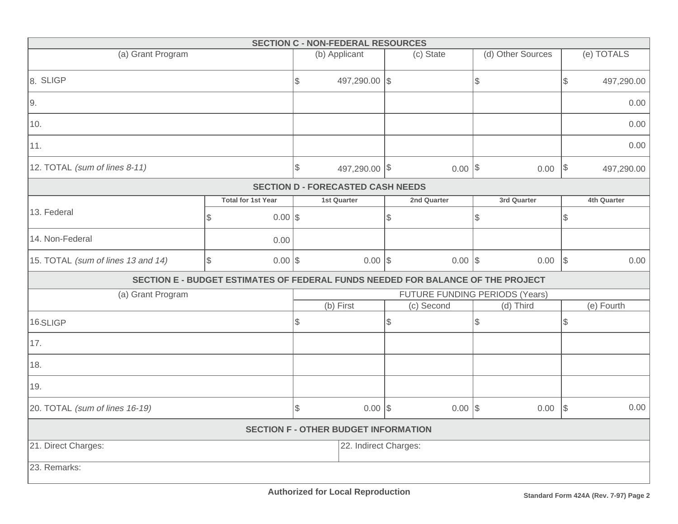|                                             |                                                                                 | <b>SECTION C - NON-FEDERAL RESOURCES</b>      |               |           |             |                   |               |             |  |  |
|---------------------------------------------|---------------------------------------------------------------------------------|-----------------------------------------------|---------------|-----------|-------------|-------------------|---------------|-------------|--|--|
| (a) Grant Program                           |                                                                                 | (b) Applicant                                 |               |           | (c) State   | (d) Other Sources |               | (e) TOTALS  |  |  |
| 8. SLIGP                                    |                                                                                 | $\mathcal{L}$                                 | 497,290.00 \$ |           |             | $\$\$             | $\mathcal{L}$ | 497,290.00  |  |  |
| 9.                                          |                                                                                 |                                               |               |           |             |                   | 0.00          |             |  |  |
| 10.                                         |                                                                                 |                                               |               |           |             |                   | 0.00          |             |  |  |
| 11.                                         |                                                                                 |                                               |               |           |             |                   |               | 0.00        |  |  |
| 12. TOTAL (sum of lines 8-11)               |                                                                                 | $\, \, \raisebox{12pt}{$\scriptstyle \circ$}$ | 497,290.00 \$ |           | $0.00$ \$   | $0.00$   \$       |               | 497,290.00  |  |  |
|                                             |                                                                                 | <b>SECTION D - FORECASTED CASH NEEDS</b>      |               |           |             |                   |               |             |  |  |
|                                             | <b>Total for 1st Year</b>                                                       | 1st Quarter                                   |               |           | 2nd Quarter | 3rd Quarter       |               | 4th Quarter |  |  |
| 13. Federal                                 | $0.00$ \$<br>$\sqrt{3}$                                                         |                                               |               | \$        |             | \$                | \$            |             |  |  |
| 14. Non-Federal                             | 0.00                                                                            |                                               |               |           |             |                   |               |             |  |  |
| 15. TOTAL (sum of lines 13 and 14)          | $0.00$ \$<br>$\mathcal{S}$                                                      |                                               | $0.00$ \\$    |           | $0.00$ \$   | $0.00$ \$         |               | 0.00        |  |  |
|                                             | SECTION E - BUDGET ESTIMATES OF FEDERAL FUNDS NEEDED FOR BALANCE OF THE PROJECT |                                               |               |           |             |                   |               |             |  |  |
| (a) Grant Program                           |                                                                                 | <b>FUTURE FUNDING PERIODS (Years)</b>         |               |           |             |                   |               |             |  |  |
|                                             |                                                                                 | (b) First                                     |               |           | (c) Second  | (d) Third         |               | (e) Fourth  |  |  |
| 16.SLIGP                                    |                                                                                 | $\mathcal{L}$                                 |               | \$        |             | \$                | \$            |             |  |  |
| 17.                                         |                                                                                 |                                               |               |           |             |                   |               |             |  |  |
| 18.                                         |                                                                                 |                                               |               |           |             |                   |               |             |  |  |
| 19.                                         |                                                                                 |                                               |               |           |             |                   |               |             |  |  |
| 20. TOTAL (sum of lines 16-19)              | \$                                                                              | $0.00$ \$                                     |               | $0.00$ \$ | 0.00        | $\sqrt{ }$        | 0.00          |             |  |  |
| <b>SECTION F - OTHER BUDGET INFORMATION</b> |                                                                                 |                                               |               |           |             |                   |               |             |  |  |
| 21. Direct Charges:                         | 22. Indirect Charges:                                                           |                                               |               |           |             |                   |               |             |  |  |
| 23. Remarks:                                |                                                                                 |                                               |               |           |             |                   |               |             |  |  |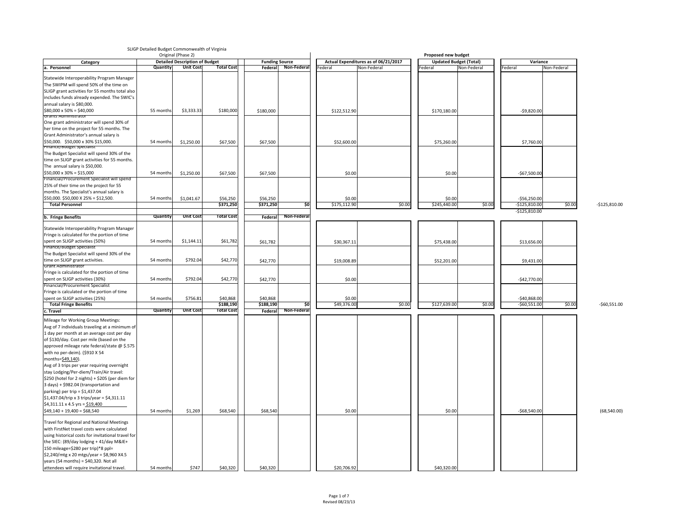|                                                          |                 | Original (Phase 2)                    |                       |                       |                     |              |                                      |              | <b>Proposed new budget</b>    |                 |             |                |
|----------------------------------------------------------|-----------------|---------------------------------------|-----------------------|-----------------------|---------------------|--------------|--------------------------------------|--------------|-------------------------------|-----------------|-------------|----------------|
| Category                                                 |                 | <b>Detailed Description of Budget</b> |                       | <b>Funding Source</b> |                     |              | Actual Expenditures as of 06/21/2017 |              | <b>Updated Budget (Total)</b> | Variance        |             |                |
| a. Personnel                                             | <b>Quantity</b> | <b>Unit Cost</b>                      | <b>Total Cost</b>     |                       | Federal Non-Federal | Federal      | Non-Federal                          | Federal      | Non-Federal                   | Federal         | Non-Federal |                |
| Statewide Interoperability Program Manager               |                 |                                       |                       |                       |                     |              |                                      |              |                               |                 |             |                |
| The SWIPM will spend 50% of the time on                  |                 |                                       |                       |                       |                     |              |                                      |              |                               |                 |             |                |
| SLIGP grant activities for 55 months total also          |                 |                                       |                       |                       |                     |              |                                      |              |                               |                 |             |                |
|                                                          |                 |                                       |                       |                       |                     |              |                                      |              |                               |                 |             |                |
| includes funds already expended. The SWIC's              |                 |                                       |                       |                       |                     |              |                                      |              |                               |                 |             |                |
| annual salary is \$80,000.                               |                 |                                       |                       |                       |                     |              |                                      |              |                               |                 |             |                |
| $\frac{1580,000 \times 50\%}{2000}$ = \$40,000           | 55 months       | \$3,333.33                            | \$180,000             | \$180,000             |                     | \$122,512.90 |                                      | \$170,180.00 |                               | $-59,820.00$    |             |                |
| <b>Grants Administrator</b>                              |                 |                                       |                       |                       |                     |              |                                      |              |                               |                 |             |                |
| One grant administrator will spend 30% of                |                 |                                       |                       |                       |                     |              |                                      |              |                               |                 |             |                |
| her time on the project for 55 months. The               |                 |                                       |                       |                       |                     |              |                                      |              |                               |                 |             |                |
| Grant Administrator's annual salary is                   |                 |                                       |                       |                       |                     |              |                                      |              |                               |                 |             |                |
| \$50,000. \$50,000 x 30% \$15,000.                       | 54 months       | \$1,250.00                            | \$67,500              | \$67,500              |                     | \$52,600.00  |                                      | \$75,260.00  |                               | \$7,760.00      |             |                |
| <b>Finance/Budget Specialist</b>                         |                 |                                       |                       |                       |                     |              |                                      |              |                               |                 |             |                |
| The Budget Specialist will spend 30% of the              |                 |                                       |                       |                       |                     |              |                                      |              |                               |                 |             |                |
| time on SLIGP grant activities for 55 months.            |                 |                                       |                       |                       |                     |              |                                      |              |                               |                 |             |                |
| The annual salary is \$50,000.                           |                 |                                       |                       |                       |                     |              |                                      |              |                               |                 |             |                |
| $\frac{1550,000 \times 30\%}{2000}$ = \$15,000           | 54 months       | \$1,250.00                            | \$67,500              | \$67,500              |                     | \$0.00       |                                      |              | \$0.00                        | $-$67,500.00$   |             |                |
| Financial/Procurement Specialist will spend              |                 |                                       |                       |                       |                     |              |                                      |              |                               |                 |             |                |
| 25% of their time on the project for 55                  |                 |                                       |                       |                       |                     |              |                                      |              |                               |                 |             |                |
|                                                          |                 |                                       |                       |                       |                     |              |                                      |              |                               |                 |             |                |
| months. The Specialist's annual salary is                |                 |                                       |                       |                       |                     |              |                                      |              |                               |                 |             |                |
| $\frac{1550,000}{1550,000}$ X 25% = \$12,500.            | 54 months       | \$1,041.67                            | \$56,250              | \$56,250              |                     | \$0.00       |                                      |              | \$0.00                        | $-$56,250.00$   |             |                |
| <b>Total Personnel</b>                                   |                 |                                       | \$371,250             | \$371,250             | $\overline{\ }$ \$0 | \$175,112.90 | \$0.00                               | \$245,440.00 | \$0.00                        | $-$125,810.00$  | \$0.00      | $-$125,810.00$ |
|                                                          |                 |                                       |                       |                       |                     |              |                                      |              |                               | $-$125,810.00$  |             |                |
| b. Fringe Benefits                                       | <b>Quantity</b> | <b>Unit Cost</b>                      | <b>Total Cost</b>     | Federal               | Non-Federal         |              |                                      |              |                               |                 |             |                |
|                                                          |                 |                                       |                       |                       |                     |              |                                      |              |                               |                 |             |                |
| Statewide Interoperability Program Manager               |                 |                                       |                       |                       |                     |              |                                      |              |                               |                 |             |                |
| Fringe is calculated for the portion of time             |                 |                                       |                       |                       |                     |              |                                      |              |                               |                 |             |                |
| spent on SLIGP activities (50%)                          | 54 months       | \$1,144.11                            | \$61,782              | \$61,782              |                     | \$30,367.11  |                                      | \$75,438.00  |                               | \$13,656.00     |             |                |
| <b>Finance/Budget Specialist</b>                         |                 |                                       |                       |                       |                     |              |                                      |              |                               |                 |             |                |
| The Budget Specialist will spend 30% of the              |                 |                                       |                       |                       |                     |              |                                      |              |                               |                 |             |                |
| time on SLIGP grant activities.                          | 54 months       | \$792.04                              | \$42,770              | \$42,770              |                     | \$19,008.89  |                                      | \$52,201.00  |                               | \$9,431.00      |             |                |
| <b>Grant Administrator</b>                               |                 |                                       |                       |                       |                     |              |                                      |              |                               |                 |             |                |
| Fringe is calculated for the portion of time             |                 |                                       |                       |                       |                     |              |                                      |              |                               |                 |             |                |
| spent on SLIGP activities (30%)                          | 54 months       | \$792.04                              | \$42,770              | \$42,770              |                     | \$0.00       |                                      |              |                               | $-$42,770.00$   |             |                |
| <b>Financial/Procurement Specialist</b>                  |                 |                                       |                       |                       |                     |              |                                      |              |                               |                 |             |                |
| Fringe is calculated or the portion of time              |                 |                                       |                       |                       |                     |              |                                      |              |                               |                 |             |                |
| spent on SLIGP activities (25%)                          | 54 months       | \$756.81                              |                       | \$40,868              |                     | \$0.00       |                                      |              |                               | $-540,868.00$   |             |                |
| <b>Total Fringe Benefits</b>                             |                 |                                       | \$40,868<br>\$188,190 | \$188,190             | \$0                 | \$49,376.00  | \$0.00                               | \$127,639.00 | \$0.00                        | $-$ \$60,551.00 | \$0.00      | $-$60,551.00$  |
| c. Travel                                                | <b>Quantity</b> | <b>Unit Cost</b>                      | <b>Total Cost</b>     | Federal               | Non-Federal         |              |                                      |              |                               |                 |             |                |
|                                                          |                 |                                       |                       |                       |                     |              |                                      |              |                               |                 |             |                |
| Mileage for Working Group Meetings:                      |                 |                                       |                       |                       |                     |              |                                      |              |                               |                 |             |                |
| Avg of 7 individuals traveling at a minimum of           |                 |                                       |                       |                       |                     |              |                                      |              |                               |                 |             |                |
| 1 day per month at an average cost per day               |                 |                                       |                       |                       |                     |              |                                      |              |                               |                 |             |                |
| of \$130/day. Cost per mile (based on the                |                 |                                       |                       |                       |                     |              |                                      |              |                               |                 |             |                |
| approved mileage rate federal/state @ \$.575             |                 |                                       |                       |                       |                     |              |                                      |              |                               |                 |             |                |
| with no per-deim). (\$910 X 54                           |                 |                                       |                       |                       |                     |              |                                      |              |                               |                 |             |                |
|                                                          |                 |                                       |                       |                       |                     |              |                                      |              |                               |                 |             |                |
| months=\$49,140).                                        |                 |                                       |                       |                       |                     |              |                                      |              |                               |                 |             |                |
| Avg of 3 trips per year requiring overnight              |                 |                                       |                       |                       |                     |              |                                      |              |                               |                 |             |                |
| stay Lodging/Per-diem/Train/Air travel:                  |                 |                                       |                       |                       |                     |              |                                      |              |                               |                 |             |                |
| $\frac{1}{2}$ (hotel for 2 nights) + \$205 (per diem for |                 |                                       |                       |                       |                     |              |                                      |              |                               |                 |             |                |
| $3$ days) + \$982.04 (transportation and                 |                 |                                       |                       |                       |                     |              |                                      |              |                               |                 |             |                |
| $\vert$ parking) per trip = \$1,437.04                   |                 |                                       |                       |                       |                     |              |                                      |              |                               |                 |             |                |
| $\frac{1}{2}$ 1,437.04/trip x 3 trips/year = \$4,311.11  |                 |                                       |                       |                       |                     |              |                                      |              |                               |                 |             |                |
| $\frac{1}{2}$ \$4,311.11 x 4.5 yrs = \$19,400            |                 |                                       |                       |                       |                     |              |                                      |              |                               |                 |             |                |
|                                                          |                 |                                       |                       |                       |                     |              |                                      |              |                               |                 |             |                |
| $\frac{1}{2}49,140 + 19,400 = $68,540$                   | 54 months       | \$1,269                               | \$68,540              | \$68,540              |                     | \$0.00       |                                      |              | \$0.00                        | $-$68,540.00$   |             | (68, 540.00)   |
| Travel for Regional and National Meetings                |                 |                                       |                       |                       |                     |              |                                      |              |                               |                 |             |                |
|                                                          |                 |                                       |                       |                       |                     |              |                                      |              |                               |                 |             |                |
| with FirstNet travel costs were calculated               |                 |                                       |                       |                       |                     |              |                                      |              |                               |                 |             |                |
| using historical costs for invitational travel for       |                 |                                       |                       |                       |                     |              |                                      |              |                               |                 |             |                |
| the SIEC: (89/day lodging $+41$ /day M&IE+               |                 |                                       |                       |                       |                     |              |                                      |              |                               |                 |             |                |
| 150 mileage=\$280 per trip)*8 ppl=                       |                 |                                       |                       |                       |                     |              |                                      |              |                               |                 |             |                |
| $\frac{1}{2}$ 2,240/mtg x 20 mtgs/year = \$8,960 X4.5    |                 |                                       |                       |                       |                     |              |                                      |              |                               |                 |             |                |
| years (54 months) = $$40,320$ . Not all                  |                 |                                       |                       |                       |                     |              |                                      |              |                               |                 |             |                |
| attendees will require invitational travel.              | 54 months       | \$747                                 | \$40,320              | \$40,320              |                     | \$20,706.92  |                                      | \$40,320.00  |                               |                 |             |                |

# SLIGP Detailed Budget Commonwealth of Virginia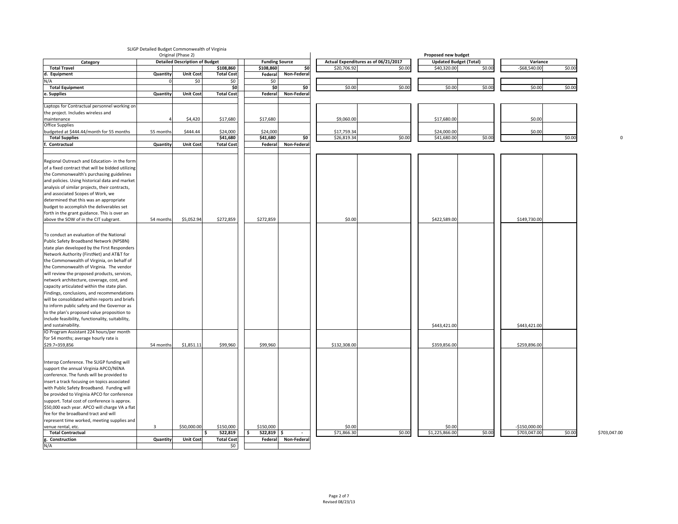# SLIGP Detailed Budget Commonwealth of Virginia

| Actual Expenditures as of 06/21/2017<br><b>Detailed Description of Budget</b><br><b>Updated Budget (Total)</b><br><b>Funding Source</b><br>\$0<br>\$0.00<br>\$0.00<br>\$108,860<br>\$20,706.92<br>\$0.00<br>\$40,320.00<br>$-$ \$68,540.00<br><b>Total Travel</b><br>\$108,860<br>d. Equipment<br><b>Unit Cost</b><br><b>Total Cost</b><br>Non-Federal<br>Quantity<br>Federal<br>N/A<br>\$0<br>\$0<br>\$0<br> 50 <br>\$0<br>\$0.00<br>\$0.00<br>\$0.00<br>\$0.00<br>\$0.00<br>\$0.00<br><b>Total Equipment</b><br><b>SO</b><br>e. Supplies<br>Unit Cost<br><b>Total Cost</b><br><b>Non-Federal</b><br>Quantity<br>Federal<br>Laptops for Contractual personnel working on<br>the project. Includes wireless and<br>\$0.00<br>\$4,420<br>\$17,680<br>\$17,680<br>\$9,060.00<br>\$17,680.00<br>maintenance<br><b>Office Supplies</b><br>\$444.44<br>\$24,000<br>\$24,000<br>\$0.00<br>\$17,759.34<br>\$24,000.00<br>budgeted at \$444.44/month for 55 months<br>55 months<br>\$0<br>\$0.00<br>\$0.00<br>\$0.00<br>\$41,680<br>\$41,680<br>\$26,819.34<br>\$41,680.00<br><b>Total Supplies</b><br>Non-Federal<br>. Contractual<br><b>Unit Cost</b><br><b>Total Cost</b><br>Quantity<br>Federal<br>Regional Outreach and Education- in the form<br>of a fixed contract that will be bidded utilizing<br>the Commonwealth's purchasing guidelines<br>and policies. Using historical data and market<br>analysis of similar projects, their contracts,<br>and associated Scopes of Work, we<br>determined that this was an appropriate<br>budget to accomplish the deliverables set<br>forth in the grant guidance. This is over an<br>\$272,859<br>\$0.00<br>above the SOW of in the CIT subgrant.<br>\$5,052.94<br>\$272,859<br>\$422,589.00<br>\$149,730.00<br>54 months<br>To conduct an evaluation of the National<br>Public Safety Broadband Network (NPSBN)<br>state plan developed by the First Responders<br>Network Authority (FirstNet) and AT&T for<br>the Commonwealth of Virginia, on behalf of<br>the Commonwealth of Virginia. The vendor<br>will review the proposed products, services,<br>network architecture, coverage, cost, and<br>capacity articulated within the state plan.<br>Findings, conclusions, and recommendations<br>will be consolidated within reports and briefs<br>to inform public safety and the Governor as<br>to the plan's proposed value proposition to<br>include feasibility, functionality, suitability,<br>and sustainability.<br>\$443,421.00<br>\$443,421.00<br>IO Program Assistant 224 hours/per month<br>for 54 months; average hourly rate is<br>\$1,851.11<br>\$99,960<br>\$99,960<br>\$359,856.00<br>\$259,896.00<br>\$132,308.00<br>\$29.7=359,856<br>54 months<br>Interop Conference. The SLIGP funding will<br>support the annual Virginia APCO/NENA<br>conference. The funds will be provided to<br>insert a track focusing on topics associated<br>with Public Safety Broadband. Funding will<br>be provided to Virginia APCO for conference<br>support. Total cost of conference is approx.<br>\$50,000 each year. APCO will charge VA a flat<br>fee for the broadband tract and will<br>represent time worked, meeting supplies and<br>\$0.00<br>\$0.00<br>\$150,000<br>\$150,000<br>$-$150,000.00$<br>$\overline{3}$<br>\$50,000.00<br>venue rental, etc.<br>\$71,866.30<br>\$0.00<br>\$0.00<br>\$0.00<br><b>Total Contractual</b><br>522,819<br>\$1,225,866.00<br>\$703,047.00<br>$522,819$ \$ |                 |          | Original (Phase 2) |                   |         |                    |  | <b>Proposed new budget</b> |          |  |
|-----------------------------------------------------------------------------------------------------------------------------------------------------------------------------------------------------------------------------------------------------------------------------------------------------------------------------------------------------------------------------------------------------------------------------------------------------------------------------------------------------------------------------------------------------------------------------------------------------------------------------------------------------------------------------------------------------------------------------------------------------------------------------------------------------------------------------------------------------------------------------------------------------------------------------------------------------------------------------------------------------------------------------------------------------------------------------------------------------------------------------------------------------------------------------------------------------------------------------------------------------------------------------------------------------------------------------------------------------------------------------------------------------------------------------------------------------------------------------------------------------------------------------------------------------------------------------------------------------------------------------------------------------------------------------------------------------------------------------------------------------------------------------------------------------------------------------------------------------------------------------------------------------------------------------------------------------------------------------------------------------------------------------------------------------------------------------------------------------------------------------------------------------------------------------------------------------------------------------------------------------------------------------------------------------------------------------------------------------------------------------------------------------------------------------------------------------------------------------------------------------------------------------------------------------------------------------------------------------------------------------------------------------------------------------------------------------------------------------------------------------------------------------------------------------------------------------------------------------------------------------------------------------------------------------------------------------------------------------------------------------------------------------------------------------------------------------------------------------------------------------------------------------------------------------------------------------------------------------------------------------------------------------------------------------------------------------------------------------------------------------------------------------------------------------------------------------------|-----------------|----------|--------------------|-------------------|---------|--------------------|--|----------------------------|----------|--|
|                                                                                                                                                                                                                                                                                                                                                                                                                                                                                                                                                                                                                                                                                                                                                                                                                                                                                                                                                                                                                                                                                                                                                                                                                                                                                                                                                                                                                                                                                                                                                                                                                                                                                                                                                                                                                                                                                                                                                                                                                                                                                                                                                                                                                                                                                                                                                                                                                                                                                                                                                                                                                                                                                                                                                                                                                                                                                                                                                                                                                                                                                                                                                                                                                                                                                                                                                                                                                                                           | Category        |          |                    |                   |         |                    |  |                            | Variance |  |
|                                                                                                                                                                                                                                                                                                                                                                                                                                                                                                                                                                                                                                                                                                                                                                                                                                                                                                                                                                                                                                                                                                                                                                                                                                                                                                                                                                                                                                                                                                                                                                                                                                                                                                                                                                                                                                                                                                                                                                                                                                                                                                                                                                                                                                                                                                                                                                                                                                                                                                                                                                                                                                                                                                                                                                                                                                                                                                                                                                                                                                                                                                                                                                                                                                                                                                                                                                                                                                                           |                 |          |                    |                   |         |                    |  |                            |          |  |
|                                                                                                                                                                                                                                                                                                                                                                                                                                                                                                                                                                                                                                                                                                                                                                                                                                                                                                                                                                                                                                                                                                                                                                                                                                                                                                                                                                                                                                                                                                                                                                                                                                                                                                                                                                                                                                                                                                                                                                                                                                                                                                                                                                                                                                                                                                                                                                                                                                                                                                                                                                                                                                                                                                                                                                                                                                                                                                                                                                                                                                                                                                                                                                                                                                                                                                                                                                                                                                                           |                 |          |                    |                   |         |                    |  |                            |          |  |
|                                                                                                                                                                                                                                                                                                                                                                                                                                                                                                                                                                                                                                                                                                                                                                                                                                                                                                                                                                                                                                                                                                                                                                                                                                                                                                                                                                                                                                                                                                                                                                                                                                                                                                                                                                                                                                                                                                                                                                                                                                                                                                                                                                                                                                                                                                                                                                                                                                                                                                                                                                                                                                                                                                                                                                                                                                                                                                                                                                                                                                                                                                                                                                                                                                                                                                                                                                                                                                                           |                 |          |                    |                   |         |                    |  |                            |          |  |
|                                                                                                                                                                                                                                                                                                                                                                                                                                                                                                                                                                                                                                                                                                                                                                                                                                                                                                                                                                                                                                                                                                                                                                                                                                                                                                                                                                                                                                                                                                                                                                                                                                                                                                                                                                                                                                                                                                                                                                                                                                                                                                                                                                                                                                                                                                                                                                                                                                                                                                                                                                                                                                                                                                                                                                                                                                                                                                                                                                                                                                                                                                                                                                                                                                                                                                                                                                                                                                                           |                 |          |                    |                   |         |                    |  |                            |          |  |
|                                                                                                                                                                                                                                                                                                                                                                                                                                                                                                                                                                                                                                                                                                                                                                                                                                                                                                                                                                                                                                                                                                                                                                                                                                                                                                                                                                                                                                                                                                                                                                                                                                                                                                                                                                                                                                                                                                                                                                                                                                                                                                                                                                                                                                                                                                                                                                                                                                                                                                                                                                                                                                                                                                                                                                                                                                                                                                                                                                                                                                                                                                                                                                                                                                                                                                                                                                                                                                                           |                 |          |                    |                   |         |                    |  |                            |          |  |
|                                                                                                                                                                                                                                                                                                                                                                                                                                                                                                                                                                                                                                                                                                                                                                                                                                                                                                                                                                                                                                                                                                                                                                                                                                                                                                                                                                                                                                                                                                                                                                                                                                                                                                                                                                                                                                                                                                                                                                                                                                                                                                                                                                                                                                                                                                                                                                                                                                                                                                                                                                                                                                                                                                                                                                                                                                                                                                                                                                                                                                                                                                                                                                                                                                                                                                                                                                                                                                                           |                 |          |                    |                   |         |                    |  |                            |          |  |
|                                                                                                                                                                                                                                                                                                                                                                                                                                                                                                                                                                                                                                                                                                                                                                                                                                                                                                                                                                                                                                                                                                                                                                                                                                                                                                                                                                                                                                                                                                                                                                                                                                                                                                                                                                                                                                                                                                                                                                                                                                                                                                                                                                                                                                                                                                                                                                                                                                                                                                                                                                                                                                                                                                                                                                                                                                                                                                                                                                                                                                                                                                                                                                                                                                                                                                                                                                                                                                                           |                 |          |                    |                   |         |                    |  |                            |          |  |
|                                                                                                                                                                                                                                                                                                                                                                                                                                                                                                                                                                                                                                                                                                                                                                                                                                                                                                                                                                                                                                                                                                                                                                                                                                                                                                                                                                                                                                                                                                                                                                                                                                                                                                                                                                                                                                                                                                                                                                                                                                                                                                                                                                                                                                                                                                                                                                                                                                                                                                                                                                                                                                                                                                                                                                                                                                                                                                                                                                                                                                                                                                                                                                                                                                                                                                                                                                                                                                                           |                 |          |                    |                   |         |                    |  |                            |          |  |
|                                                                                                                                                                                                                                                                                                                                                                                                                                                                                                                                                                                                                                                                                                                                                                                                                                                                                                                                                                                                                                                                                                                                                                                                                                                                                                                                                                                                                                                                                                                                                                                                                                                                                                                                                                                                                                                                                                                                                                                                                                                                                                                                                                                                                                                                                                                                                                                                                                                                                                                                                                                                                                                                                                                                                                                                                                                                                                                                                                                                                                                                                                                                                                                                                                                                                                                                                                                                                                                           |                 |          |                    |                   |         |                    |  |                            |          |  |
|                                                                                                                                                                                                                                                                                                                                                                                                                                                                                                                                                                                                                                                                                                                                                                                                                                                                                                                                                                                                                                                                                                                                                                                                                                                                                                                                                                                                                                                                                                                                                                                                                                                                                                                                                                                                                                                                                                                                                                                                                                                                                                                                                                                                                                                                                                                                                                                                                                                                                                                                                                                                                                                                                                                                                                                                                                                                                                                                                                                                                                                                                                                                                                                                                                                                                                                                                                                                                                                           |                 |          |                    |                   |         |                    |  |                            |          |  |
|                                                                                                                                                                                                                                                                                                                                                                                                                                                                                                                                                                                                                                                                                                                                                                                                                                                                                                                                                                                                                                                                                                                                                                                                                                                                                                                                                                                                                                                                                                                                                                                                                                                                                                                                                                                                                                                                                                                                                                                                                                                                                                                                                                                                                                                                                                                                                                                                                                                                                                                                                                                                                                                                                                                                                                                                                                                                                                                                                                                                                                                                                                                                                                                                                                                                                                                                                                                                                                                           |                 |          |                    |                   |         |                    |  |                            |          |  |
|                                                                                                                                                                                                                                                                                                                                                                                                                                                                                                                                                                                                                                                                                                                                                                                                                                                                                                                                                                                                                                                                                                                                                                                                                                                                                                                                                                                                                                                                                                                                                                                                                                                                                                                                                                                                                                                                                                                                                                                                                                                                                                                                                                                                                                                                                                                                                                                                                                                                                                                                                                                                                                                                                                                                                                                                                                                                                                                                                                                                                                                                                                                                                                                                                                                                                                                                                                                                                                                           |                 |          |                    |                   |         |                    |  |                            |          |  |
|                                                                                                                                                                                                                                                                                                                                                                                                                                                                                                                                                                                                                                                                                                                                                                                                                                                                                                                                                                                                                                                                                                                                                                                                                                                                                                                                                                                                                                                                                                                                                                                                                                                                                                                                                                                                                                                                                                                                                                                                                                                                                                                                                                                                                                                                                                                                                                                                                                                                                                                                                                                                                                                                                                                                                                                                                                                                                                                                                                                                                                                                                                                                                                                                                                                                                                                                                                                                                                                           |                 |          |                    |                   |         |                    |  |                            |          |  |
|                                                                                                                                                                                                                                                                                                                                                                                                                                                                                                                                                                                                                                                                                                                                                                                                                                                                                                                                                                                                                                                                                                                                                                                                                                                                                                                                                                                                                                                                                                                                                                                                                                                                                                                                                                                                                                                                                                                                                                                                                                                                                                                                                                                                                                                                                                                                                                                                                                                                                                                                                                                                                                                                                                                                                                                                                                                                                                                                                                                                                                                                                                                                                                                                                                                                                                                                                                                                                                                           |                 |          |                    |                   |         |                    |  |                            |          |  |
|                                                                                                                                                                                                                                                                                                                                                                                                                                                                                                                                                                                                                                                                                                                                                                                                                                                                                                                                                                                                                                                                                                                                                                                                                                                                                                                                                                                                                                                                                                                                                                                                                                                                                                                                                                                                                                                                                                                                                                                                                                                                                                                                                                                                                                                                                                                                                                                                                                                                                                                                                                                                                                                                                                                                                                                                                                                                                                                                                                                                                                                                                                                                                                                                                                                                                                                                                                                                                                                           |                 |          |                    |                   |         |                    |  |                            |          |  |
|                                                                                                                                                                                                                                                                                                                                                                                                                                                                                                                                                                                                                                                                                                                                                                                                                                                                                                                                                                                                                                                                                                                                                                                                                                                                                                                                                                                                                                                                                                                                                                                                                                                                                                                                                                                                                                                                                                                                                                                                                                                                                                                                                                                                                                                                                                                                                                                                                                                                                                                                                                                                                                                                                                                                                                                                                                                                                                                                                                                                                                                                                                                                                                                                                                                                                                                                                                                                                                                           |                 |          |                    |                   |         |                    |  |                            |          |  |
|                                                                                                                                                                                                                                                                                                                                                                                                                                                                                                                                                                                                                                                                                                                                                                                                                                                                                                                                                                                                                                                                                                                                                                                                                                                                                                                                                                                                                                                                                                                                                                                                                                                                                                                                                                                                                                                                                                                                                                                                                                                                                                                                                                                                                                                                                                                                                                                                                                                                                                                                                                                                                                                                                                                                                                                                                                                                                                                                                                                                                                                                                                                                                                                                                                                                                                                                                                                                                                                           |                 |          |                    |                   |         |                    |  |                            |          |  |
|                                                                                                                                                                                                                                                                                                                                                                                                                                                                                                                                                                                                                                                                                                                                                                                                                                                                                                                                                                                                                                                                                                                                                                                                                                                                                                                                                                                                                                                                                                                                                                                                                                                                                                                                                                                                                                                                                                                                                                                                                                                                                                                                                                                                                                                                                                                                                                                                                                                                                                                                                                                                                                                                                                                                                                                                                                                                                                                                                                                                                                                                                                                                                                                                                                                                                                                                                                                                                                                           |                 |          |                    |                   |         |                    |  |                            |          |  |
|                                                                                                                                                                                                                                                                                                                                                                                                                                                                                                                                                                                                                                                                                                                                                                                                                                                                                                                                                                                                                                                                                                                                                                                                                                                                                                                                                                                                                                                                                                                                                                                                                                                                                                                                                                                                                                                                                                                                                                                                                                                                                                                                                                                                                                                                                                                                                                                                                                                                                                                                                                                                                                                                                                                                                                                                                                                                                                                                                                                                                                                                                                                                                                                                                                                                                                                                                                                                                                                           |                 |          |                    |                   |         |                    |  |                            |          |  |
|                                                                                                                                                                                                                                                                                                                                                                                                                                                                                                                                                                                                                                                                                                                                                                                                                                                                                                                                                                                                                                                                                                                                                                                                                                                                                                                                                                                                                                                                                                                                                                                                                                                                                                                                                                                                                                                                                                                                                                                                                                                                                                                                                                                                                                                                                                                                                                                                                                                                                                                                                                                                                                                                                                                                                                                                                                                                                                                                                                                                                                                                                                                                                                                                                                                                                                                                                                                                                                                           |                 |          |                    |                   |         |                    |  |                            |          |  |
|                                                                                                                                                                                                                                                                                                                                                                                                                                                                                                                                                                                                                                                                                                                                                                                                                                                                                                                                                                                                                                                                                                                                                                                                                                                                                                                                                                                                                                                                                                                                                                                                                                                                                                                                                                                                                                                                                                                                                                                                                                                                                                                                                                                                                                                                                                                                                                                                                                                                                                                                                                                                                                                                                                                                                                                                                                                                                                                                                                                                                                                                                                                                                                                                                                                                                                                                                                                                                                                           |                 |          |                    |                   |         |                    |  |                            |          |  |
|                                                                                                                                                                                                                                                                                                                                                                                                                                                                                                                                                                                                                                                                                                                                                                                                                                                                                                                                                                                                                                                                                                                                                                                                                                                                                                                                                                                                                                                                                                                                                                                                                                                                                                                                                                                                                                                                                                                                                                                                                                                                                                                                                                                                                                                                                                                                                                                                                                                                                                                                                                                                                                                                                                                                                                                                                                                                                                                                                                                                                                                                                                                                                                                                                                                                                                                                                                                                                                                           |                 |          |                    |                   |         |                    |  |                            |          |  |
|                                                                                                                                                                                                                                                                                                                                                                                                                                                                                                                                                                                                                                                                                                                                                                                                                                                                                                                                                                                                                                                                                                                                                                                                                                                                                                                                                                                                                                                                                                                                                                                                                                                                                                                                                                                                                                                                                                                                                                                                                                                                                                                                                                                                                                                                                                                                                                                                                                                                                                                                                                                                                                                                                                                                                                                                                                                                                                                                                                                                                                                                                                                                                                                                                                                                                                                                                                                                                                                           |                 |          |                    |                   |         |                    |  |                            |          |  |
|                                                                                                                                                                                                                                                                                                                                                                                                                                                                                                                                                                                                                                                                                                                                                                                                                                                                                                                                                                                                                                                                                                                                                                                                                                                                                                                                                                                                                                                                                                                                                                                                                                                                                                                                                                                                                                                                                                                                                                                                                                                                                                                                                                                                                                                                                                                                                                                                                                                                                                                                                                                                                                                                                                                                                                                                                                                                                                                                                                                                                                                                                                                                                                                                                                                                                                                                                                                                                                                           |                 |          |                    |                   |         |                    |  |                            |          |  |
|                                                                                                                                                                                                                                                                                                                                                                                                                                                                                                                                                                                                                                                                                                                                                                                                                                                                                                                                                                                                                                                                                                                                                                                                                                                                                                                                                                                                                                                                                                                                                                                                                                                                                                                                                                                                                                                                                                                                                                                                                                                                                                                                                                                                                                                                                                                                                                                                                                                                                                                                                                                                                                                                                                                                                                                                                                                                                                                                                                                                                                                                                                                                                                                                                                                                                                                                                                                                                                                           |                 |          |                    |                   |         |                    |  |                            |          |  |
|                                                                                                                                                                                                                                                                                                                                                                                                                                                                                                                                                                                                                                                                                                                                                                                                                                                                                                                                                                                                                                                                                                                                                                                                                                                                                                                                                                                                                                                                                                                                                                                                                                                                                                                                                                                                                                                                                                                                                                                                                                                                                                                                                                                                                                                                                                                                                                                                                                                                                                                                                                                                                                                                                                                                                                                                                                                                                                                                                                                                                                                                                                                                                                                                                                                                                                                                                                                                                                                           |                 |          |                    |                   |         |                    |  |                            |          |  |
|                                                                                                                                                                                                                                                                                                                                                                                                                                                                                                                                                                                                                                                                                                                                                                                                                                                                                                                                                                                                                                                                                                                                                                                                                                                                                                                                                                                                                                                                                                                                                                                                                                                                                                                                                                                                                                                                                                                                                                                                                                                                                                                                                                                                                                                                                                                                                                                                                                                                                                                                                                                                                                                                                                                                                                                                                                                                                                                                                                                                                                                                                                                                                                                                                                                                                                                                                                                                                                                           |                 |          |                    |                   |         |                    |  |                            |          |  |
|                                                                                                                                                                                                                                                                                                                                                                                                                                                                                                                                                                                                                                                                                                                                                                                                                                                                                                                                                                                                                                                                                                                                                                                                                                                                                                                                                                                                                                                                                                                                                                                                                                                                                                                                                                                                                                                                                                                                                                                                                                                                                                                                                                                                                                                                                                                                                                                                                                                                                                                                                                                                                                                                                                                                                                                                                                                                                                                                                                                                                                                                                                                                                                                                                                                                                                                                                                                                                                                           |                 |          |                    |                   |         |                    |  |                            |          |  |
|                                                                                                                                                                                                                                                                                                                                                                                                                                                                                                                                                                                                                                                                                                                                                                                                                                                                                                                                                                                                                                                                                                                                                                                                                                                                                                                                                                                                                                                                                                                                                                                                                                                                                                                                                                                                                                                                                                                                                                                                                                                                                                                                                                                                                                                                                                                                                                                                                                                                                                                                                                                                                                                                                                                                                                                                                                                                                                                                                                                                                                                                                                                                                                                                                                                                                                                                                                                                                                                           |                 |          |                    |                   |         |                    |  |                            |          |  |
|                                                                                                                                                                                                                                                                                                                                                                                                                                                                                                                                                                                                                                                                                                                                                                                                                                                                                                                                                                                                                                                                                                                                                                                                                                                                                                                                                                                                                                                                                                                                                                                                                                                                                                                                                                                                                                                                                                                                                                                                                                                                                                                                                                                                                                                                                                                                                                                                                                                                                                                                                                                                                                                                                                                                                                                                                                                                                                                                                                                                                                                                                                                                                                                                                                                                                                                                                                                                                                                           |                 |          |                    |                   |         |                    |  |                            |          |  |
|                                                                                                                                                                                                                                                                                                                                                                                                                                                                                                                                                                                                                                                                                                                                                                                                                                                                                                                                                                                                                                                                                                                                                                                                                                                                                                                                                                                                                                                                                                                                                                                                                                                                                                                                                                                                                                                                                                                                                                                                                                                                                                                                                                                                                                                                                                                                                                                                                                                                                                                                                                                                                                                                                                                                                                                                                                                                                                                                                                                                                                                                                                                                                                                                                                                                                                                                                                                                                                                           |                 |          |                    |                   |         |                    |  |                            |          |  |
|                                                                                                                                                                                                                                                                                                                                                                                                                                                                                                                                                                                                                                                                                                                                                                                                                                                                                                                                                                                                                                                                                                                                                                                                                                                                                                                                                                                                                                                                                                                                                                                                                                                                                                                                                                                                                                                                                                                                                                                                                                                                                                                                                                                                                                                                                                                                                                                                                                                                                                                                                                                                                                                                                                                                                                                                                                                                                                                                                                                                                                                                                                                                                                                                                                                                                                                                                                                                                                                           |                 |          |                    |                   |         |                    |  |                            |          |  |
|                                                                                                                                                                                                                                                                                                                                                                                                                                                                                                                                                                                                                                                                                                                                                                                                                                                                                                                                                                                                                                                                                                                                                                                                                                                                                                                                                                                                                                                                                                                                                                                                                                                                                                                                                                                                                                                                                                                                                                                                                                                                                                                                                                                                                                                                                                                                                                                                                                                                                                                                                                                                                                                                                                                                                                                                                                                                                                                                                                                                                                                                                                                                                                                                                                                                                                                                                                                                                                                           |                 |          |                    |                   |         |                    |  |                            |          |  |
|                                                                                                                                                                                                                                                                                                                                                                                                                                                                                                                                                                                                                                                                                                                                                                                                                                                                                                                                                                                                                                                                                                                                                                                                                                                                                                                                                                                                                                                                                                                                                                                                                                                                                                                                                                                                                                                                                                                                                                                                                                                                                                                                                                                                                                                                                                                                                                                                                                                                                                                                                                                                                                                                                                                                                                                                                                                                                                                                                                                                                                                                                                                                                                                                                                                                                                                                                                                                                                                           |                 |          |                    |                   |         |                    |  |                            |          |  |
|                                                                                                                                                                                                                                                                                                                                                                                                                                                                                                                                                                                                                                                                                                                                                                                                                                                                                                                                                                                                                                                                                                                                                                                                                                                                                                                                                                                                                                                                                                                                                                                                                                                                                                                                                                                                                                                                                                                                                                                                                                                                                                                                                                                                                                                                                                                                                                                                                                                                                                                                                                                                                                                                                                                                                                                                                                                                                                                                                                                                                                                                                                                                                                                                                                                                                                                                                                                                                                                           |                 |          |                    |                   |         |                    |  |                            |          |  |
|                                                                                                                                                                                                                                                                                                                                                                                                                                                                                                                                                                                                                                                                                                                                                                                                                                                                                                                                                                                                                                                                                                                                                                                                                                                                                                                                                                                                                                                                                                                                                                                                                                                                                                                                                                                                                                                                                                                                                                                                                                                                                                                                                                                                                                                                                                                                                                                                                                                                                                                                                                                                                                                                                                                                                                                                                                                                                                                                                                                                                                                                                                                                                                                                                                                                                                                                                                                                                                                           |                 |          |                    |                   |         |                    |  |                            |          |  |
|                                                                                                                                                                                                                                                                                                                                                                                                                                                                                                                                                                                                                                                                                                                                                                                                                                                                                                                                                                                                                                                                                                                                                                                                                                                                                                                                                                                                                                                                                                                                                                                                                                                                                                                                                                                                                                                                                                                                                                                                                                                                                                                                                                                                                                                                                                                                                                                                                                                                                                                                                                                                                                                                                                                                                                                                                                                                                                                                                                                                                                                                                                                                                                                                                                                                                                                                                                                                                                                           |                 |          |                    |                   |         |                    |  |                            |          |  |
|                                                                                                                                                                                                                                                                                                                                                                                                                                                                                                                                                                                                                                                                                                                                                                                                                                                                                                                                                                                                                                                                                                                                                                                                                                                                                                                                                                                                                                                                                                                                                                                                                                                                                                                                                                                                                                                                                                                                                                                                                                                                                                                                                                                                                                                                                                                                                                                                                                                                                                                                                                                                                                                                                                                                                                                                                                                                                                                                                                                                                                                                                                                                                                                                                                                                                                                                                                                                                                                           |                 |          |                    |                   |         |                    |  |                            |          |  |
|                                                                                                                                                                                                                                                                                                                                                                                                                                                                                                                                                                                                                                                                                                                                                                                                                                                                                                                                                                                                                                                                                                                                                                                                                                                                                                                                                                                                                                                                                                                                                                                                                                                                                                                                                                                                                                                                                                                                                                                                                                                                                                                                                                                                                                                                                                                                                                                                                                                                                                                                                                                                                                                                                                                                                                                                                                                                                                                                                                                                                                                                                                                                                                                                                                                                                                                                                                                                                                                           |                 |          |                    |                   |         |                    |  |                            |          |  |
|                                                                                                                                                                                                                                                                                                                                                                                                                                                                                                                                                                                                                                                                                                                                                                                                                                                                                                                                                                                                                                                                                                                                                                                                                                                                                                                                                                                                                                                                                                                                                                                                                                                                                                                                                                                                                                                                                                                                                                                                                                                                                                                                                                                                                                                                                                                                                                                                                                                                                                                                                                                                                                                                                                                                                                                                                                                                                                                                                                                                                                                                                                                                                                                                                                                                                                                                                                                                                                                           |                 |          |                    |                   |         |                    |  |                            |          |  |
|                                                                                                                                                                                                                                                                                                                                                                                                                                                                                                                                                                                                                                                                                                                                                                                                                                                                                                                                                                                                                                                                                                                                                                                                                                                                                                                                                                                                                                                                                                                                                                                                                                                                                                                                                                                                                                                                                                                                                                                                                                                                                                                                                                                                                                                                                                                                                                                                                                                                                                                                                                                                                                                                                                                                                                                                                                                                                                                                                                                                                                                                                                                                                                                                                                                                                                                                                                                                                                                           |                 |          |                    |                   |         |                    |  |                            |          |  |
|                                                                                                                                                                                                                                                                                                                                                                                                                                                                                                                                                                                                                                                                                                                                                                                                                                                                                                                                                                                                                                                                                                                                                                                                                                                                                                                                                                                                                                                                                                                                                                                                                                                                                                                                                                                                                                                                                                                                                                                                                                                                                                                                                                                                                                                                                                                                                                                                                                                                                                                                                                                                                                                                                                                                                                                                                                                                                                                                                                                                                                                                                                                                                                                                                                                                                                                                                                                                                                                           |                 |          |                    |                   |         |                    |  |                            |          |  |
|                                                                                                                                                                                                                                                                                                                                                                                                                                                                                                                                                                                                                                                                                                                                                                                                                                                                                                                                                                                                                                                                                                                                                                                                                                                                                                                                                                                                                                                                                                                                                                                                                                                                                                                                                                                                                                                                                                                                                                                                                                                                                                                                                                                                                                                                                                                                                                                                                                                                                                                                                                                                                                                                                                                                                                                                                                                                                                                                                                                                                                                                                                                                                                                                                                                                                                                                                                                                                                                           |                 |          |                    |                   |         |                    |  |                            |          |  |
|                                                                                                                                                                                                                                                                                                                                                                                                                                                                                                                                                                                                                                                                                                                                                                                                                                                                                                                                                                                                                                                                                                                                                                                                                                                                                                                                                                                                                                                                                                                                                                                                                                                                                                                                                                                                                                                                                                                                                                                                                                                                                                                                                                                                                                                                                                                                                                                                                                                                                                                                                                                                                                                                                                                                                                                                                                                                                                                                                                                                                                                                                                                                                                                                                                                                                                                                                                                                                                                           |                 |          |                    |                   |         |                    |  |                            |          |  |
|                                                                                                                                                                                                                                                                                                                                                                                                                                                                                                                                                                                                                                                                                                                                                                                                                                                                                                                                                                                                                                                                                                                                                                                                                                                                                                                                                                                                                                                                                                                                                                                                                                                                                                                                                                                                                                                                                                                                                                                                                                                                                                                                                                                                                                                                                                                                                                                                                                                                                                                                                                                                                                                                                                                                                                                                                                                                                                                                                                                                                                                                                                                                                                                                                                                                                                                                                                                                                                                           |                 |          |                    |                   |         |                    |  |                            |          |  |
|                                                                                                                                                                                                                                                                                                                                                                                                                                                                                                                                                                                                                                                                                                                                                                                                                                                                                                                                                                                                                                                                                                                                                                                                                                                                                                                                                                                                                                                                                                                                                                                                                                                                                                                                                                                                                                                                                                                                                                                                                                                                                                                                                                                                                                                                                                                                                                                                                                                                                                                                                                                                                                                                                                                                                                                                                                                                                                                                                                                                                                                                                                                                                                                                                                                                                                                                                                                                                                                           |                 |          |                    |                   |         |                    |  |                            |          |  |
|                                                                                                                                                                                                                                                                                                                                                                                                                                                                                                                                                                                                                                                                                                                                                                                                                                                                                                                                                                                                                                                                                                                                                                                                                                                                                                                                                                                                                                                                                                                                                                                                                                                                                                                                                                                                                                                                                                                                                                                                                                                                                                                                                                                                                                                                                                                                                                                                                                                                                                                                                                                                                                                                                                                                                                                                                                                                                                                                                                                                                                                                                                                                                                                                                                                                                                                                                                                                                                                           |                 |          |                    |                   |         |                    |  |                            |          |  |
|                                                                                                                                                                                                                                                                                                                                                                                                                                                                                                                                                                                                                                                                                                                                                                                                                                                                                                                                                                                                                                                                                                                                                                                                                                                                                                                                                                                                                                                                                                                                                                                                                                                                                                                                                                                                                                                                                                                                                                                                                                                                                                                                                                                                                                                                                                                                                                                                                                                                                                                                                                                                                                                                                                                                                                                                                                                                                                                                                                                                                                                                                                                                                                                                                                                                                                                                                                                                                                                           |                 |          |                    |                   |         |                    |  |                            |          |  |
|                                                                                                                                                                                                                                                                                                                                                                                                                                                                                                                                                                                                                                                                                                                                                                                                                                                                                                                                                                                                                                                                                                                                                                                                                                                                                                                                                                                                                                                                                                                                                                                                                                                                                                                                                                                                                                                                                                                                                                                                                                                                                                                                                                                                                                                                                                                                                                                                                                                                                                                                                                                                                                                                                                                                                                                                                                                                                                                                                                                                                                                                                                                                                                                                                                                                                                                                                                                                                                                           |                 |          |                    |                   |         |                    |  |                            |          |  |
|                                                                                                                                                                                                                                                                                                                                                                                                                                                                                                                                                                                                                                                                                                                                                                                                                                                                                                                                                                                                                                                                                                                                                                                                                                                                                                                                                                                                                                                                                                                                                                                                                                                                                                                                                                                                                                                                                                                                                                                                                                                                                                                                                                                                                                                                                                                                                                                                                                                                                                                                                                                                                                                                                                                                                                                                                                                                                                                                                                                                                                                                                                                                                                                                                                                                                                                                                                                                                                                           |                 |          |                    |                   |         |                    |  |                            |          |  |
|                                                                                                                                                                                                                                                                                                                                                                                                                                                                                                                                                                                                                                                                                                                                                                                                                                                                                                                                                                                                                                                                                                                                                                                                                                                                                                                                                                                                                                                                                                                                                                                                                                                                                                                                                                                                                                                                                                                                                                                                                                                                                                                                                                                                                                                                                                                                                                                                                                                                                                                                                                                                                                                                                                                                                                                                                                                                                                                                                                                                                                                                                                                                                                                                                                                                                                                                                                                                                                                           |                 |          |                    |                   |         |                    |  |                            |          |  |
|                                                                                                                                                                                                                                                                                                                                                                                                                                                                                                                                                                                                                                                                                                                                                                                                                                                                                                                                                                                                                                                                                                                                                                                                                                                                                                                                                                                                                                                                                                                                                                                                                                                                                                                                                                                                                                                                                                                                                                                                                                                                                                                                                                                                                                                                                                                                                                                                                                                                                                                                                                                                                                                                                                                                                                                                                                                                                                                                                                                                                                                                                                                                                                                                                                                                                                                                                                                                                                                           |                 |          |                    |                   |         |                    |  |                            |          |  |
|                                                                                                                                                                                                                                                                                                                                                                                                                                                                                                                                                                                                                                                                                                                                                                                                                                                                                                                                                                                                                                                                                                                                                                                                                                                                                                                                                                                                                                                                                                                                                                                                                                                                                                                                                                                                                                                                                                                                                                                                                                                                                                                                                                                                                                                                                                                                                                                                                                                                                                                                                                                                                                                                                                                                                                                                                                                                                                                                                                                                                                                                                                                                                                                                                                                                                                                                                                                                                                                           |                 |          |                    |                   |         |                    |  |                            |          |  |
|                                                                                                                                                                                                                                                                                                                                                                                                                                                                                                                                                                                                                                                                                                                                                                                                                                                                                                                                                                                                                                                                                                                                                                                                                                                                                                                                                                                                                                                                                                                                                                                                                                                                                                                                                                                                                                                                                                                                                                                                                                                                                                                                                                                                                                                                                                                                                                                                                                                                                                                                                                                                                                                                                                                                                                                                                                                                                                                                                                                                                                                                                                                                                                                                                                                                                                                                                                                                                                                           |                 |          |                    |                   |         |                    |  |                            |          |  |
|                                                                                                                                                                                                                                                                                                                                                                                                                                                                                                                                                                                                                                                                                                                                                                                                                                                                                                                                                                                                                                                                                                                                                                                                                                                                                                                                                                                                                                                                                                                                                                                                                                                                                                                                                                                                                                                                                                                                                                                                                                                                                                                                                                                                                                                                                                                                                                                                                                                                                                                                                                                                                                                                                                                                                                                                                                                                                                                                                                                                                                                                                                                                                                                                                                                                                                                                                                                                                                                           |                 |          |                    |                   |         |                    |  |                            |          |  |
|                                                                                                                                                                                                                                                                                                                                                                                                                                                                                                                                                                                                                                                                                                                                                                                                                                                                                                                                                                                                                                                                                                                                                                                                                                                                                                                                                                                                                                                                                                                                                                                                                                                                                                                                                                                                                                                                                                                                                                                                                                                                                                                                                                                                                                                                                                                                                                                                                                                                                                                                                                                                                                                                                                                                                                                                                                                                                                                                                                                                                                                                                                                                                                                                                                                                                                                                                                                                                                                           |                 |          |                    |                   |         |                    |  |                            |          |  |
|                                                                                                                                                                                                                                                                                                                                                                                                                                                                                                                                                                                                                                                                                                                                                                                                                                                                                                                                                                                                                                                                                                                                                                                                                                                                                                                                                                                                                                                                                                                                                                                                                                                                                                                                                                                                                                                                                                                                                                                                                                                                                                                                                                                                                                                                                                                                                                                                                                                                                                                                                                                                                                                                                                                                                                                                                                                                                                                                                                                                                                                                                                                                                                                                                                                                                                                                                                                                                                                           |                 |          |                    |                   |         |                    |  |                            |          |  |
|                                                                                                                                                                                                                                                                                                                                                                                                                                                                                                                                                                                                                                                                                                                                                                                                                                                                                                                                                                                                                                                                                                                                                                                                                                                                                                                                                                                                                                                                                                                                                                                                                                                                                                                                                                                                                                                                                                                                                                                                                                                                                                                                                                                                                                                                                                                                                                                                                                                                                                                                                                                                                                                                                                                                                                                                                                                                                                                                                                                                                                                                                                                                                                                                                                                                                                                                                                                                                                                           |                 |          |                    |                   |         |                    |  |                            |          |  |
|                                                                                                                                                                                                                                                                                                                                                                                                                                                                                                                                                                                                                                                                                                                                                                                                                                                                                                                                                                                                                                                                                                                                                                                                                                                                                                                                                                                                                                                                                                                                                                                                                                                                                                                                                                                                                                                                                                                                                                                                                                                                                                                                                                                                                                                                                                                                                                                                                                                                                                                                                                                                                                                                                                                                                                                                                                                                                                                                                                                                                                                                                                                                                                                                                                                                                                                                                                                                                                                           |                 |          |                    |                   |         |                    |  |                            |          |  |
|                                                                                                                                                                                                                                                                                                                                                                                                                                                                                                                                                                                                                                                                                                                                                                                                                                                                                                                                                                                                                                                                                                                                                                                                                                                                                                                                                                                                                                                                                                                                                                                                                                                                                                                                                                                                                                                                                                                                                                                                                                                                                                                                                                                                                                                                                                                                                                                                                                                                                                                                                                                                                                                                                                                                                                                                                                                                                                                                                                                                                                                                                                                                                                                                                                                                                                                                                                                                                                                           |                 |          |                    |                   |         |                    |  |                            |          |  |
|                                                                                                                                                                                                                                                                                                                                                                                                                                                                                                                                                                                                                                                                                                                                                                                                                                                                                                                                                                                                                                                                                                                                                                                                                                                                                                                                                                                                                                                                                                                                                                                                                                                                                                                                                                                                                                                                                                                                                                                                                                                                                                                                                                                                                                                                                                                                                                                                                                                                                                                                                                                                                                                                                                                                                                                                                                                                                                                                                                                                                                                                                                                                                                                                                                                                                                                                                                                                                                                           | g. Construction | Quantity | <b>Unit Cost</b>   | <b>Total Cost</b> | Federal | <b>Non-Federal</b> |  |                            |          |  |
|                                                                                                                                                                                                                                                                                                                                                                                                                                                                                                                                                                                                                                                                                                                                                                                                                                                                                                                                                                                                                                                                                                                                                                                                                                                                                                                                                                                                                                                                                                                                                                                                                                                                                                                                                                                                                                                                                                                                                                                                                                                                                                                                                                                                                                                                                                                                                                                                                                                                                                                                                                                                                                                                                                                                                                                                                                                                                                                                                                                                                                                                                                                                                                                                                                                                                                                                                                                                                                                           | N/A             |          |                    | \$0\$             |         |                    |  |                            |          |  |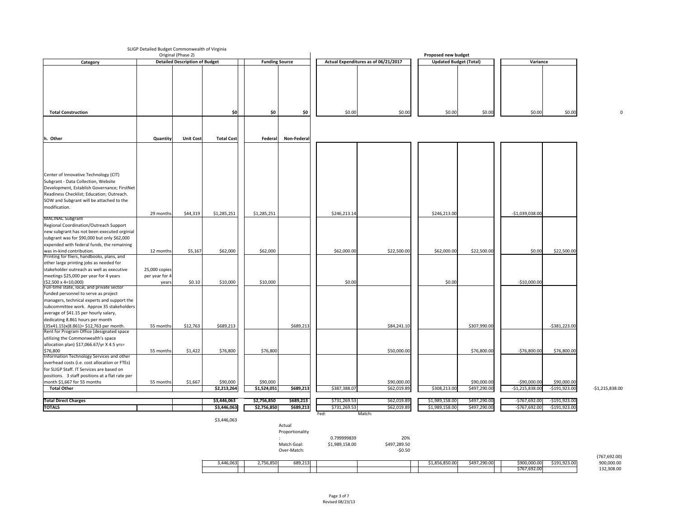# SLIGP Detailed Budget Commonwealth of Virginia

|                                                                                                                             |                 | Original (Phase 2)                    |                   |                       |             |              |                                      | <b>Proposed new budget</b>    |              |                  |                  |                  |
|-----------------------------------------------------------------------------------------------------------------------------|-----------------|---------------------------------------|-------------------|-----------------------|-------------|--------------|--------------------------------------|-------------------------------|--------------|------------------|------------------|------------------|
| Category                                                                                                                    |                 | <b>Detailed Description of Budget</b> |                   | <b>Funding Source</b> |             |              | Actual Expenditures as of 06/21/2017 | <b>Updated Budget (Total)</b> |              | Variance         |                  |                  |
|                                                                                                                             |                 |                                       |                   |                       |             |              |                                      |                               |              |                  |                  |                  |
| <b>Total Construction</b>                                                                                                   |                 |                                       | \$0               | \$0                   | \$0         | \$0.00       | \$0.00                               | \$0.00                        | \$0.00       | \$0.00           | \$0.00           |                  |
|                                                                                                                             |                 |                                       |                   |                       |             |              |                                      |                               |              |                  |                  |                  |
|                                                                                                                             |                 |                                       |                   |                       |             |              |                                      |                               |              |                  |                  |                  |
| h. Other                                                                                                                    | <b>Quantity</b> | Unit Cost                             | <b>Total Cost</b> | Federal               | Non-Federal |              |                                      |                               |              |                  |                  |                  |
|                                                                                                                             |                 |                                       |                   |                       |             |              |                                      |                               |              |                  |                  |                  |
| Center of Innovative Technology (CIT)<br>Subgrant - Data Collection, Website<br>Development, Establish Governance; FirstNet |                 |                                       |                   |                       |             |              |                                      |                               |              |                  |                  |                  |
| Readiness Checklist; Education; Outreach.                                                                                   |                 |                                       |                   |                       |             |              |                                      |                               |              |                  |                  |                  |
| SOW and Subgrant will be attached to the                                                                                    |                 |                                       |                   |                       |             |              |                                      |                               |              |                  |                  |                  |
| modification.                                                                                                               |                 |                                       |                   |                       |             |              |                                      |                               |              |                  |                  |                  |
|                                                                                                                             | 29 months       | \$44,319                              | \$1,285,251       | \$1,285,251           |             | \$246,213.14 |                                      | \$246,213.00                  |              | $-$1,039,038.00$ |                  |                  |
| <b>MACINAC Subgrant</b>                                                                                                     |                 |                                       |                   |                       |             |              |                                      |                               |              |                  |                  |                  |
| Regional Coordination/Outreach Support                                                                                      |                 |                                       |                   |                       |             |              |                                      |                               |              |                  |                  |                  |
| new subgrant has not been executed orginial                                                                                 |                 |                                       |                   |                       |             |              |                                      |                               |              |                  |                  |                  |
| subgrant was for \$90,000 but only \$62,000                                                                                 |                 |                                       |                   |                       |             |              |                                      |                               |              |                  |                  |                  |
| expended with federal funds, the remaining                                                                                  |                 |                                       |                   |                       |             |              |                                      |                               |              |                  |                  |                  |
| was in-kind contribution.                                                                                                   | 12 months       | \$5,167                               | \$62,000          | \$62,000              |             | \$62,000.00  | \$22,500.00                          | \$62,000.00                   | \$22,500.00  | \$0.00           | \$22,500.00      |                  |
| Printing for fliers, handbooks, plans, and                                                                                  |                 |                                       |                   |                       |             |              |                                      |                               |              |                  |                  |                  |
| other large printing jobs as needed for                                                                                     |                 |                                       |                   |                       |             |              |                                      |                               |              |                  |                  |                  |
| stakeholder outreach as well as executive                                                                                   | 25,000 copies   |                                       |                   |                       |             |              |                                      |                               |              |                  |                  |                  |
| meetings \$25,000 per year for 4 years                                                                                      | per year for 4  |                                       |                   |                       |             |              |                                      |                               |              |                  |                  |                  |
| $($ \$2,500 x 4=10,000)                                                                                                     | years           | \$0.10                                | \$10,000          | \$10,000              |             | \$0.00       |                                      | \$0.00                        |              | $-$10,000.00$    |                  |                  |
| Full-time state, local, and private sector                                                                                  |                 |                                       |                   |                       |             |              |                                      |                               |              |                  |                  |                  |
| funded personnel to serve as project                                                                                        |                 |                                       |                   |                       |             |              |                                      |                               |              |                  |                  |                  |
| managers, technical experts and support the                                                                                 |                 |                                       |                   |                       |             |              |                                      |                               |              |                  |                  |                  |
| subcommittee work. Approx 35 stakeholders                                                                                   |                 |                                       |                   |                       |             |              |                                      |                               |              |                  |                  |                  |
| average of \$41.15 per hourly salary,                                                                                       |                 |                                       |                   |                       |             |              |                                      |                               |              |                  |                  |                  |
| dedicating 8.861 hours per month                                                                                            |                 |                                       |                   |                       |             |              |                                      |                               |              |                  |                  |                  |
| $(35x41.15)x(8.861) = $12,763$ per month.                                                                                   | 55 months       | \$12,763                              | \$689,213         |                       | \$689,213   |              | \$84,241.10                          |                               | \$307,990.00 |                  | $-5381,223.00$   |                  |
| Rent for Program Office (designated space                                                                                   |                 |                                       |                   |                       |             |              |                                      |                               |              |                  |                  |                  |
| utilizing the Commonwealth's space                                                                                          |                 |                                       |                   |                       |             |              |                                      |                               |              |                  |                  |                  |
| allocation plan) $$17,066.67/yr$ X 4.5 yrs=                                                                                 |                 |                                       |                   |                       |             |              |                                      |                               |              |                  |                  |                  |
| \$76,800                                                                                                                    | 55 months       | \$1,422                               | \$76,800          | \$76,800              |             |              | \$50,000.00                          |                               | \$76,800.00  | $-576,800.00$    | \$76,800.00      |                  |
| Information Technology Services and other                                                                                   |                 |                                       |                   |                       |             |              |                                      |                               |              |                  |                  |                  |
| overhead costs (i.e. cost allocation or FTEs)                                                                               |                 |                                       |                   |                       |             |              |                                      |                               |              |                  |                  |                  |
| for SLIGP Staff. IT Services are based on                                                                                   |                 |                                       |                   |                       |             |              |                                      |                               |              |                  |                  |                  |
| positions. 3 staff positions at a flat rate per                                                                             |                 |                                       |                   |                       |             |              |                                      |                               |              |                  |                  |                  |
| month \$1,667 for 55 months                                                                                                 | 55 months       | \$1,667                               | \$90,000          | \$90,000              |             |              | \$90,000.00                          |                               | \$90,000.00  | $-$ \$90,000.00  | \$90,000.00      |                  |
| <b>Total Other</b>                                                                                                          |                 |                                       | \$2,213,264       | \$1,524,051           | \$689,213   | \$387,388.07 | \$62,019.89                          | \$308,213.00                  | \$497,290.00 | $-$1,215,838.00$ | $-$191,923.00$   | $-$1,215,838.00$ |
|                                                                                                                             |                 |                                       |                   |                       |             |              |                                      |                               |              |                  |                  |                  |
| <b>Total Direct Charges</b>                                                                                                 |                 |                                       | \$3,446,063       | \$2,756,850           | \$689,213   | \$731,269.53 | \$62,019.89                          | \$1,989,158.00                | \$497,290.00 | $-5767,692.00$   | $-5191,923.00$   |                  |
| <b>TOTALS</b>                                                                                                               |                 |                                       | \$3,446,063       | \$2,756,850           | \$689,213   | \$731,269.53 | \$62,019.89                          | \$1,989,158.00                | \$497,290.00 | $-5767,692.00$   | $-$ \$191,923.00 |                  |
|                                                                                                                             |                 |                                       | \$3,446,063       |                       |             | Fed:         | Match:                               |                               |              |                  |                  |                  |

| Actual          |
|-----------------|
| Proportionality |

 $\,$ :  $\,$  0.799999839 Match Goal: \$1,989,158.00

Over-Match: example and the set of the set of the set of the set of the set of the set of the set of the set o

| (767, 692.00) |
|---------------|
| 900,000.00    |
| 132,308.00    |

| 20%          |  |
|--------------|--|
| \$497,289.50 |  |
| , <u>.</u>   |  |

| 707,092.001 |              |              |              |                |  |         |          |           |
|-------------|--------------|--------------|--------------|----------------|--|---------|----------|-----------|
| 900,000.00  | \$191,923.00 | \$900,000.00 | \$497,290.00 | \$1,856,850.00 |  | 689,213 | ,756,850 | 3,446,063 |
| 132,308.00  |              | \$767,692.00 |              |                |  |         |          |           |
|             |              |              |              |                |  |         |          |           |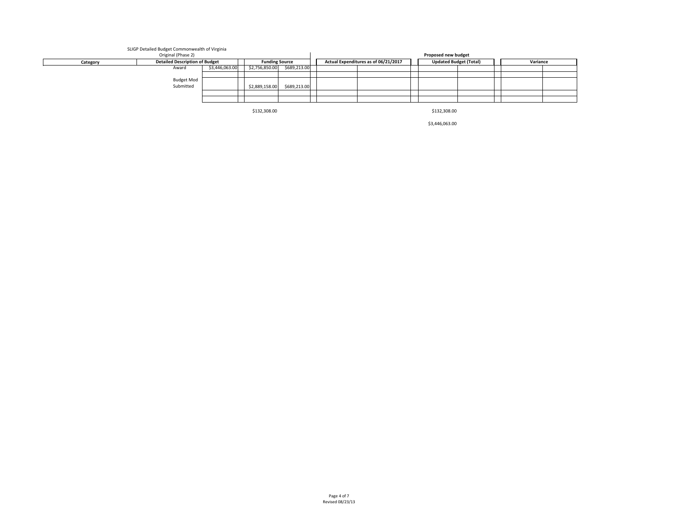\$132,308.00 \$132,308.00 \$132,308.00

# SLIGP Detailed Budget Commonwealth of Virginia

|          | Proposed new budget                   |                       |                |              |                                      |  |                               |  |          |  |  |
|----------|---------------------------------------|-----------------------|----------------|--------------|--------------------------------------|--|-------------------------------|--|----------|--|--|
| Category | <b>Detailed Description of Budget</b> | <b>Funding Source</b> |                |              | Actual Expenditures as of 06/21/2017 |  | <b>Updated Budget (Total)</b> |  | Variance |  |  |
|          | Award                                 | \$3,446,063.00        | \$2,756,850.00 | \$689,213.00 |                                      |  |                               |  |          |  |  |
|          |                                       |                       |                |              |                                      |  |                               |  |          |  |  |
|          | Budget Mod                            |                       |                |              |                                      |  |                               |  |          |  |  |
|          | Submitted                             |                       | \$2,889,158.00 | \$689,213.00 |                                      |  |                               |  |          |  |  |
|          |                                       |                       |                |              |                                      |  |                               |  |          |  |  |
|          |                                       |                       |                |              |                                      |  |                               |  |          |  |  |

\$3,446,063.00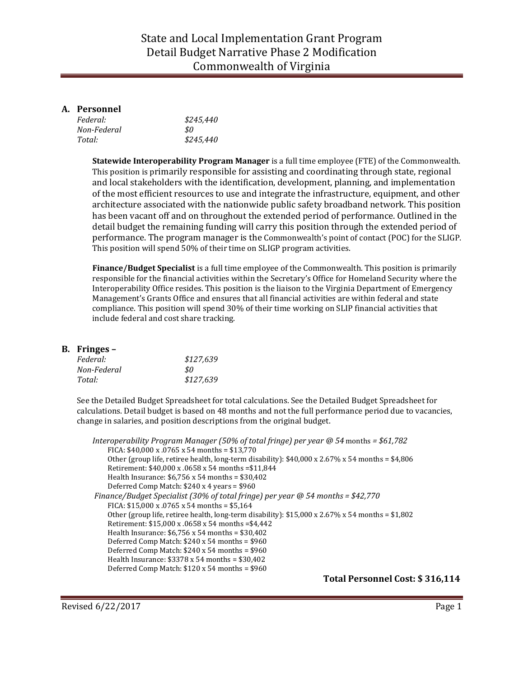### State and Local Implementation Grant Program Detail Budget Narrative Phase 2 Modification Commonwealth of Virginia

#### **A. Personnel**

| Federal:    | \$245,440 |
|-------------|-----------|
| Non-Federal | \$0       |
| Total:      | \$245,440 |

**Statewide Interoperability Program Manager** is a full time employee (FTE) of the Commonwealth. This position is primarily responsible for assisting and coordinating through state, regional and local stakeholders with the identification, development, planning, and implementation of the most efficient resources to use and integrate the infrastructure, equipment, and other architecture associated with the nationwide public safety broadband network. This position has been vacant off and on throughout the extended period of performance. Outlined in the detail budget the remaining funding will carry this position through the extended period of performance. The program manager is the Commonwealth's point of contact (POC) for the SLIGP. This position will spend 50% of their time on SLIGP program activities.

**Finance/Budget Specialist** is a full time employee of the Commonwealth. This position is primarily responsible for the financial activities within the Secretary's Office for Homeland Security where the Interoperability Office resides. This position is the liaison to the Virginia Department of Emergency Management's Grants Office and ensures that all financial activities are within federal and state compliance. This position will spend 30% of their time working on SLIP financial activities that include federal and cost share tracking.

#### **B. Fringes –**

| Federal:    | \$127,639 |
|-------------|-----------|
| Non-Federal | S0.       |
| Total:      | \$127.639 |

See the Detailed Budget Spreadsheet for total calculations. See the Detailed Budget Spreadsheet for calculations. Detail budget is based on 48 months and not the full performance period due to vacancies, change in salaries, and position descriptions from the original budget.

```
Interoperability Program Manager (50% of total fringe) per year @ 54 months = $61,782
    FICA: $40.000 \times 0765 \times 54 months = $13.770
    Other (group life, retiree health, long-term disability): $40,000 \times 2.67\% \times 54 months = $4,806
    Retirement: $40,000 x .0658 x 54 months =$11,844
    Health Insurance: $6,756 x 54 months = $30,402
    Deferred Comp Match: $240 x 4 years = $960
Finance/Budget Specialist (30% of total fringe) per year @ 54 months = $42,770
    FICA: $15,000 \times 0765 \times 54 months = $5,164
    Other (group life, retiree health, long-term disability): $15,000 \times 2.67\% \times 54 months = $1,802Retirement: $15,000 x .0658 x 54 months =$4,442
    Health Insurance: $6,756 x 54 months = $30,402
    Deferred Comp Match: $240 x 54 months = $960
    Deferred Comp Match: $240 x 54 months = $960
    Health Insurance: $3378 x 54 months = $30,402
    Deferred Comp Match: $120 x 54 months = $960
```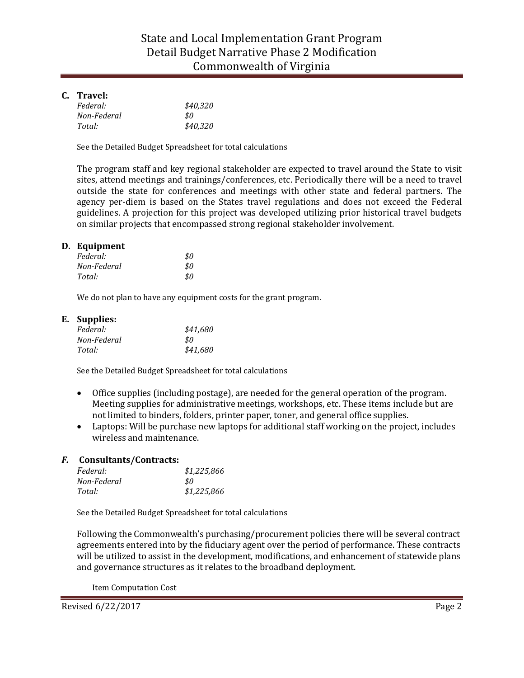#### **C. Travel:**

| Federal:    | \$40,320 |
|-------------|----------|
| Non-Federal | \$0      |
| Total:      | \$40,320 |

See the Detailed Budget Spreadsheet for total calculations

The program staff and key regional stakeholder are expected to travel around the State to visit sites, attend meetings and trainings/conferences, etc. Periodically there will be a need to travel outside the state for conferences and meetings with other state and federal partners. The agency per-diem is based on the States travel regulations and does not exceed the Federal guidelines. A projection for this project was developed utilizing prior historical travel budgets on similar projects that encompassed strong regional stakeholder involvement.

#### **D. Equipment**

| Federal:    | \$0 |
|-------------|-----|
| Non-Federal | \$0 |
| Total:      | \$0 |

We do not plan to have any equipment costs for the grant program.

#### **E. Supplies:**

| Federal:    | \$41,680 |
|-------------|----------|
| Non-Federal | \$0      |
| Total:      | \$41,680 |

See the Detailed Budget Spreadsheet for total calculations

- Office supplies (including postage), are needed for the general operation of the program. Meeting supplies for administrative meetings, workshops, etc. These items include but are not limited to binders, folders, printer paper, toner, and general office supplies.
- Laptops: Will be purchase new laptops for additional staff working on the project, includes wireless and maintenance.

#### *F.* **Consultants/Contracts:**

| Federal:    | \$1,225,866 |
|-------------|-------------|
| Non-Federal | .SO         |
| Total:      | \$1,225,866 |

See the Detailed Budget Spreadsheet for total calculations

Following the Commonwealth's purchasing/procurement policies there will be several contract agreements entered into by the fiduciary agent over the period of performance. These contracts will be utilized to assist in the development, modifications, and enhancement of statewide plans and governance structures as it relates to the broadband deployment.

Item Computation Cost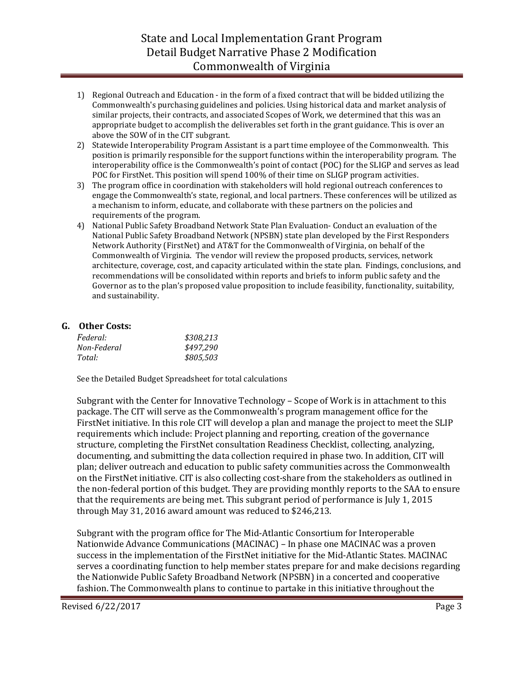## State and Local Implementation Grant Program Detail Budget Narrative Phase 2 Modification Commonwealth of Virginia

- 1) Regional Outreach and Education in the form of a fixed contract that will be bidded utilizing the Commonwealth's purchasing guidelines and policies. Using historical data and market analysis of similar projects, their contracts, and associated Scopes of Work, we determined that this was an appropriate budget to accomplish the deliverables set forth in the grant guidance. This is over an above the SOW of in the CIT subgrant.
- 2) Statewide Interoperability Program Assistant is a part time employee of the Commonwealth. This position is primarily responsible for the support functions within the interoperability program. The interoperability office is the Commonwealth's point of contact (POC) for the SLIGP and serves as lead POC for FirstNet. This position will spend 100% of their time on SLIGP program activities.
- 3) The program office in coordination with stakeholders will hold regional outreach conferences to engage the Commonwealth's state, regional, and local partners. These conferences will be utilized as a mechanism to inform, educate, and collaborate with these partners on the policies and requirements of the program.
- 4) National Public Safety Broadband Network State Plan Evaluation- Conduct an evaluation of the National Public Safety Broadband Network (NPSBN) state plan developed by the First Responders Network Authority (FirstNet) and AT&T for the Commonwealth of Virginia, on behalf of the Commonwealth of Virginia. The vendor will review the proposed products, services, network architecture, coverage, cost, and capacity articulated within the state plan. Findings, conclusions, and recommendations will be consolidated within reports and briefs to inform public safety and the Governor as to the plan's proposed value proposition to include feasibility, functionality, suitability, and sustainability.

#### **G. Other Costs:**

| <i>Federal:</i> | \$308,213 |
|-----------------|-----------|
| Non-Federal     | \$497,290 |
| Total:          | \$805,503 |

See the Detailed Budget Spreadsheet for total calculations

Subgrant with the Center for Innovative Technology – Scope of Work is in attachment to this package. The CIT will serve as the Commonwealth's program management office for the FirstNet initiative. In this role CIT will develop a plan and manage the project to meet the SLIP requirements which include: Project planning and reporting, creation of the governance structure, completing the FirstNet consultation Readiness Checklist, collecting, analyzing, documenting, and submitting the data collection required in phase two. In addition, CIT will plan; deliver outreach and education to public safety communities across the Commonwealth on the FirstNet initiative. CIT is also collecting cost-share from the stakeholders as outlined in the non-federal portion of this budget. They are providing monthly reports to the SAA to ensure that the requirements are being met. This subgrant period of performance is July 1, 2015 through May 31, 2016 award amount was reduced to \$246,213.

Subgrant with the program office for The Mid-Atlantic Consortium for Interoperable Nationwide Advance Communications (MACINAC) – In phase one MACINAC was a proven success in the implementation of the FirstNet initiative for the Mid-Atlantic States. MACINAC serves a coordinating function to help member states prepare for and make decisions regarding the Nationwide Public Safety Broadband Network (NPSBN) in a concerted and cooperative fashion. The Commonwealth plans to continue to partake in this initiative throughout the